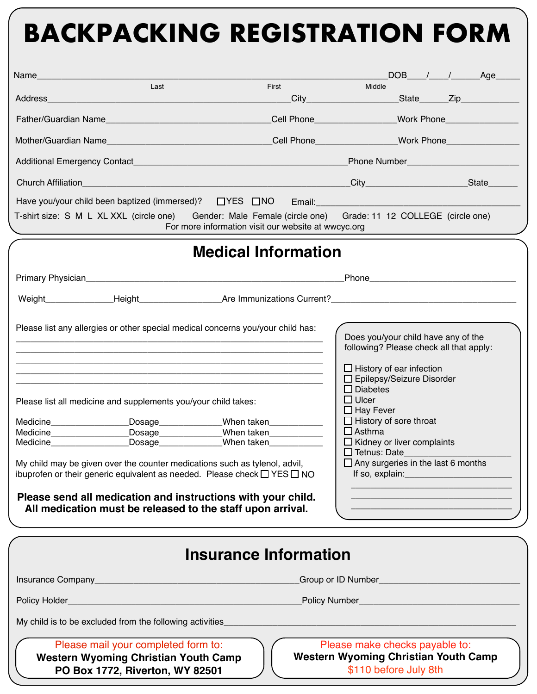## **BACKPACKING REGISTRATION FORM**

| Name and the contract of the contract of the contract of the contract of the contract of the contract of the contract of the contract of the contract of the contract of the contract of the contract of the contract of the c                                                                                                       |                                                                                                                                                                                                                                                                                                                                                                                                                                                                                                               |                              |                                                                                                                                                                                                                                                                                                                                                                                                                                                                                                               |                                                                                                        |  |  | DOB / / Age |  |  |
|--------------------------------------------------------------------------------------------------------------------------------------------------------------------------------------------------------------------------------------------------------------------------------------------------------------------------------------|---------------------------------------------------------------------------------------------------------------------------------------------------------------------------------------------------------------------------------------------------------------------------------------------------------------------------------------------------------------------------------------------------------------------------------------------------------------------------------------------------------------|------------------------------|---------------------------------------------------------------------------------------------------------------------------------------------------------------------------------------------------------------------------------------------------------------------------------------------------------------------------------------------------------------------------------------------------------------------------------------------------------------------------------------------------------------|--------------------------------------------------------------------------------------------------------|--|--|-------------|--|--|
|                                                                                                                                                                                                                                                                                                                                      | Last                                                                                                                                                                                                                                                                                                                                                                                                                                                                                                          | First                        |                                                                                                                                                                                                                                                                                                                                                                                                                                                                                                               | Middle<br>______City________________________State_______Zip______________                              |  |  |             |  |  |
|                                                                                                                                                                                                                                                                                                                                      |                                                                                                                                                                                                                                                                                                                                                                                                                                                                                                               |                              |                                                                                                                                                                                                                                                                                                                                                                                                                                                                                                               |                                                                                                        |  |  |             |  |  |
|                                                                                                                                                                                                                                                                                                                                      |                                                                                                                                                                                                                                                                                                                                                                                                                                                                                                               |                              |                                                                                                                                                                                                                                                                                                                                                                                                                                                                                                               |                                                                                                        |  |  |             |  |  |
|                                                                                                                                                                                                                                                                                                                                      |                                                                                                                                                                                                                                                                                                                                                                                                                                                                                                               |                              |                                                                                                                                                                                                                                                                                                                                                                                                                                                                                                               | <b>Phone Number and Service Services</b> and Services                                                  |  |  |             |  |  |
|                                                                                                                                                                                                                                                                                                                                      |                                                                                                                                                                                                                                                                                                                                                                                                                                                                                                               |                              |                                                                                                                                                                                                                                                                                                                                                                                                                                                                                                               |                                                                                                        |  |  |             |  |  |
| Have you/your child been baptized (immersed)? □ YES □ NO<br>Email: Email: And All And All And All And All And All And All And All And All And All And All And A<br>T-shirt size: S M L XL XXL (circle one) Gender: Male Female (circle one) Grade: 11 12 COLLEGE (circle one)<br>For more information visit our website at wwcyc.org |                                                                                                                                                                                                                                                                                                                                                                                                                                                                                                               |                              |                                                                                                                                                                                                                                                                                                                                                                                                                                                                                                               |                                                                                                        |  |  |             |  |  |
|                                                                                                                                                                                                                                                                                                                                      |                                                                                                                                                                                                                                                                                                                                                                                                                                                                                                               | <b>Medical Information</b>   |                                                                                                                                                                                                                                                                                                                                                                                                                                                                                                               |                                                                                                        |  |  |             |  |  |
|                                                                                                                                                                                                                                                                                                                                      |                                                                                                                                                                                                                                                                                                                                                                                                                                                                                                               |                              |                                                                                                                                                                                                                                                                                                                                                                                                                                                                                                               |                                                                                                        |  |  |             |  |  |
|                                                                                                                                                                                                                                                                                                                                      |                                                                                                                                                                                                                                                                                                                                                                                                                                                                                                               |                              |                                                                                                                                                                                                                                                                                                                                                                                                                                                                                                               |                                                                                                        |  |  |             |  |  |
| Medicine Medicine                                                                                                                                                                                                                                                                                                                    | Please list any allergies or other special medical concerns you/your child has:<br>Please list all medicine and supplements you/your child takes:<br>Dosage<br>Dosage______________<br>Dosage______________<br>My child may be given over the counter medications such as tylenol, advil,<br>ibuprofen or their generic equivalent as needed. Please check $\Box$ YES $\Box$ NO<br>Please send all medication and instructions with your child.<br>All medication must be released to the staff upon arrival. |                              | Does you/your child have any of the<br>following? Please check all that apply:<br>$\Box$ History of ear infection<br>$\Box$ Epilepsy/Seizure Disorder<br>$\Box$ Diabetes<br>$\Box$ Ulcer<br>$\Box$ Hay Fever<br>$\Box$ History of sore throat<br>When taken <b>When</b> taken When taken When taken When taken When L<br>$\Box$ Asthma<br>$\Box$ Kidney or liver complaints<br>When taken <b>When</b><br>$\Box$ Tetnus: Date<br>$\Box$ Any surgeries in the last 6 months<br>If so, explain: <u>contained</u> |                                                                                                        |  |  |             |  |  |
|                                                                                                                                                                                                                                                                                                                                      |                                                                                                                                                                                                                                                                                                                                                                                                                                                                                                               | <b>Insurance Information</b> |                                                                                                                                                                                                                                                                                                                                                                                                                                                                                                               |                                                                                                        |  |  |             |  |  |
|                                                                                                                                                                                                                                                                                                                                      |                                                                                                                                                                                                                                                                                                                                                                                                                                                                                                               |                              |                                                                                                                                                                                                                                                                                                                                                                                                                                                                                                               |                                                                                                        |  |  |             |  |  |
|                                                                                                                                                                                                                                                                                                                                      |                                                                                                                                                                                                                                                                                                                                                                                                                                                                                                               |                              |                                                                                                                                                                                                                                                                                                                                                                                                                                                                                                               |                                                                                                        |  |  |             |  |  |
|                                                                                                                                                                                                                                                                                                                                      | My child is to be excluded from the following activities                                                                                                                                                                                                                                                                                                                                                                                                                                                      |                              |                                                                                                                                                                                                                                                                                                                                                                                                                                                                                                               |                                                                                                        |  |  |             |  |  |
|                                                                                                                                                                                                                                                                                                                                      | Please mail your completed form to:<br><b>Western Wyoming Christian Youth Camp</b><br>PO Box 1772, Riverton, WY 82501                                                                                                                                                                                                                                                                                                                                                                                         |                              |                                                                                                                                                                                                                                                                                                                                                                                                                                                                                                               | Please make checks payable to:<br><b>Western Wyoming Christian Youth Camp</b><br>\$110 before July 8th |  |  |             |  |  |